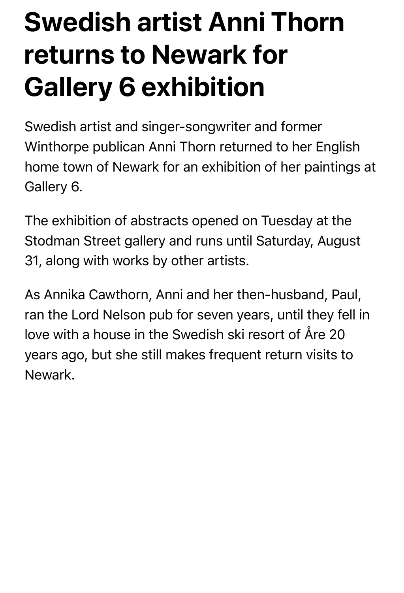## **Swedish artist Anni Thorn returns to Newark for Gallery 6 exhibition**

Swedish artist and singer-songwriter and former Winthorpe publican Anni Thorn returned to her English home town of Newark for an exhibition of her paintings at Gallery 6.

The exhibition of abstracts opened on Tuesday at the Stodman Street gallery and runs until Saturday, August 31, along with works by other artists.

As Annika Cawthorn, Anni and her then-husband, Paul, ran the Lord Nelson pub for seven years, until they fell in love with a house in the Swedish ski resort of Åre 20 years ago, but she still makes frequent return visits to Newark.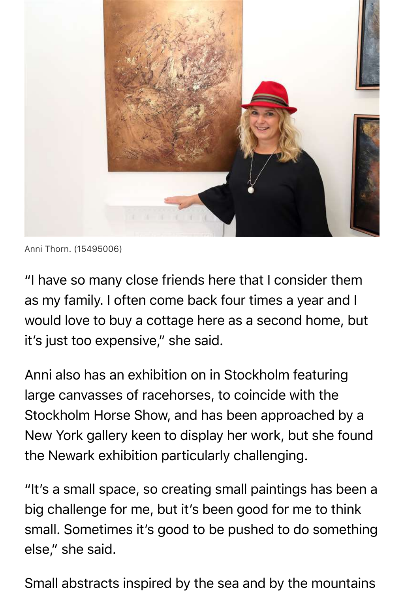

Anni Thorn. (15495006)

"I have so many close friends here that I consider them as my family. I often come back four times a year and I would love to buy a cottage here as a second home, but it's just too expensive," she said.

Anni also has an exhibition on in Stockholm featuring large canvasses of racehorses, to coincide with the Stockholm Horse Show, and has been approached by a New York gallery keen to display her work, but she found the Newark exhibition particularly challenging.

"It's a small space, so creating small paintings has been a big challenge for me, but it's been good for me to think small. Sometimes it's good to be pushed to do something else," she said.

Small abstracts inspired by the sea and by the mountains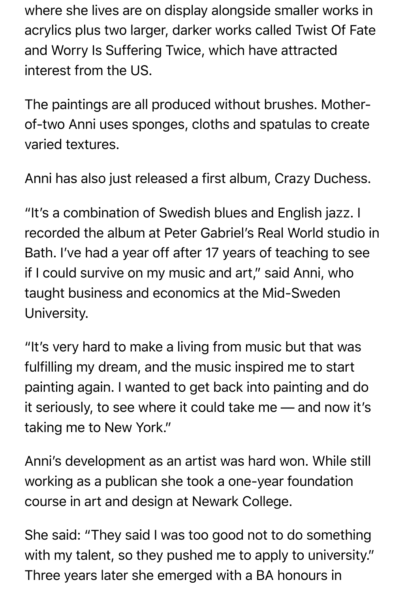where she lives are on display alongside smaller works in acrylics plus two larger, darker works called Twist Of Fate and Worry Is Suffering Twice, which have attracted interest from the US.

The paintings are all produced without brushes. Motherof-two Anni uses sponges, cloths and spatulas to create varied textures.

Anni has also just released a first album, Crazy Duchess.

"It's a combination of Swedish blues and English jazz. I recorded the album at Peter Gabriel's Real World studio in Bath. I've had a year off after 17 years of teaching to see if I could survive on my music and art," said Anni, who taught business and economics at the Mid-Sweden University.

"It's very hard to make a living from music but that was fulfilling my dream, and the music inspired me to start painting again. I wanted to get back into painting and do it seriously, to see where it could take me — and now it's taking me to New York."

Anni's development as an artist was hard won. While still working as a publican she took a one-year foundation course in art and design at Newark College.

She said: "They said I was too good not to do something with my talent, so they pushed me to apply to university." Three years later she emerged with a BA honours in